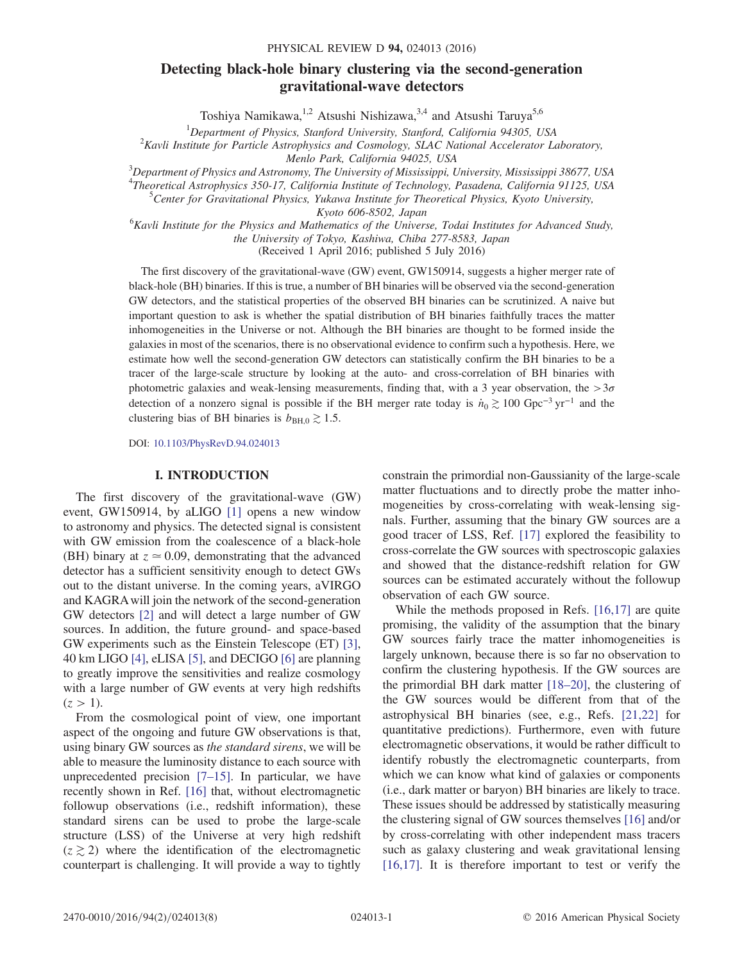# Detecting black-hole binary clustering via the second-generation gravitational-wave detectors

Toshiya Namikawa,<sup>1,2</sup> Atsushi Nishizawa,<sup>3,4</sup> and Atsushi Taruya<sup>5,6</sup>

<sup>1</sup>Department of Physics, Stanford University, Stanford, California 94305, USA<br><sup>2</sup>Kayli Institute for Particle Astrophysics and Cosmology, SLAC National Assolutator L  $K^2$ Kavli Institute for Particle Astrophysics and Cosmology, SLAC National Accelerator Laboratory,

Menlo Park, California 94025, USA<br>3Department of Physics and Astronomy, The University of Mississippi, University, Mississippi 38677, USA

<sup>4</sup>Theoretical Astrophysics 350-17, California Institute of Technology, Pasadena, California 91125, USA<br><sup>5</sup>Center for Crovitational Physics, Vukowa Institute for Theoretical Physics, Kyota University

<sup>5</sup>Center for Gravitational Physics, Yukawa Institute for Theoretical Physics, Kyoto University,

Kyoto 606-8502, Japan<br><sup>6</sup>Kavli Institute for the Physics and Mathematics of the Universe, Todai Institutes for Advanced Study, the University of Tokyo, Kashiwa, Chiba 277-8583, Japan

(Received 1 April 2016; published 5 July 2016)

The first discovery of the gravitational-wave (GW) event, GW150914, suggests a higher merger rate of black-hole (BH) binaries. If this is true, a number of BH binaries will be observed via the second-generation GW detectors, and the statistical properties of the observed BH binaries can be scrutinized. A naive but important question to ask is whether the spatial distribution of BH binaries faithfully traces the matter inhomogeneities in the Universe or not. Although the BH binaries are thought to be formed inside the galaxies in most of the scenarios, there is no observational evidence to confirm such a hypothesis. Here, we estimate how well the second-generation GW detectors can statistically confirm the BH binaries to be a tracer of the large-scale structure by looking at the auto- and cross-correlation of BH binaries with photometric galaxies and weak-lensing measurements, finding that, with a 3 year observation, the  $>3\sigma$ detection of a nonzero signal is possible if the BH merger rate today is  $\dot{n}_0 \gtrsim 100 \text{ Gpc}^{-3} \text{ yr}^{-1}$  and the clustering bias of BH binaries is  $b_{\text{BH,0}} \gtrsim 1.5$ .

DOI: [10.1103/PhysRevD.94.024013](http://dx.doi.org/10.1103/PhysRevD.94.024013)

### I. INTRODUCTION

The first discovery of the gravitational-wave (GW) event, GW150914, by aLIGO [\[1\]](#page-6-0) opens a new window to astronomy and physics. The detected signal is consistent with GW emission from the coalescence of a black-hole (BH) binary at  $z \approx 0.09$ , demonstrating that the advanced detector has a sufficient sensitivity enough to detect GWs out to the distant universe. In the coming years, aVIRGO and KAGRA will join the network of the second-generation GW detectors [\[2\]](#page-6-1) and will detect a large number of GW sources. In addition, the future ground- and space-based GW experiments such as the Einstein Telescope (ET) [\[3\]](#page-6-2), 40 km LIGO [\[4\],](#page-6-3) eLISA [\[5\],](#page-6-4) and DECIGO [\[6\]](#page-6-5) are planning to greatly improve the sensitivities and realize cosmology with a large number of GW events at very high redshifts  $(z > 1)$ .

From the cosmological point of view, one important aspect of the ongoing and future GW observations is that, using binary GW sources as the standard sirens, we will be able to measure the luminosity distance to each source with unprecedented precision  $[7-15]$ . In particular, we have recently shown in Ref. [\[16\]](#page-6-7) that, without electromagnetic followup observations (i.e., redshift information), these standard sirens can be used to probe the large-scale structure (LSS) of the Universe at very high redshift  $(z \ge 2)$  where the identification of the electromagnetic counterpart is challenging. It will provide a way to tightly

constrain the primordial non-Gaussianity of the large-scale matter fluctuations and to directly probe the matter inhomogeneities by cross-correlating with weak-lensing signals. Further, assuming that the binary GW sources are a good tracer of LSS, Ref. [\[17\]](#page-6-8) explored the feasibility to cross-correlate the GW sources with spectroscopic galaxies and showed that the distance-redshift relation for GW sources can be estimated accurately without the followup observation of each GW source.

While the methods proposed in Refs. [\[16,17\]](#page-6-7) are quite promising, the validity of the assumption that the binary GW sources fairly trace the matter inhomogeneities is largely unknown, because there is so far no observation to confirm the clustering hypothesis. If the GW sources are the primordial BH dark matter [\[18](#page-6-9)–20], the clustering of the GW sources would be different from that of the astrophysical BH binaries (see, e.g., Refs. [\[21,22\]](#page-6-10) for quantitative predictions). Furthermore, even with future electromagnetic observations, it would be rather difficult to identify robustly the electromagnetic counterparts, from which we can know what kind of galaxies or components (i.e., dark matter or baryon) BH binaries are likely to trace. These issues should be addressed by statistically measuring the clustering signal of GW sources themselves [\[16\]](#page-6-7) and/or by cross-correlating with other independent mass tracers such as galaxy clustering and weak gravitational lensing [\[16,17\]](#page-6-7). It is therefore important to test or verify the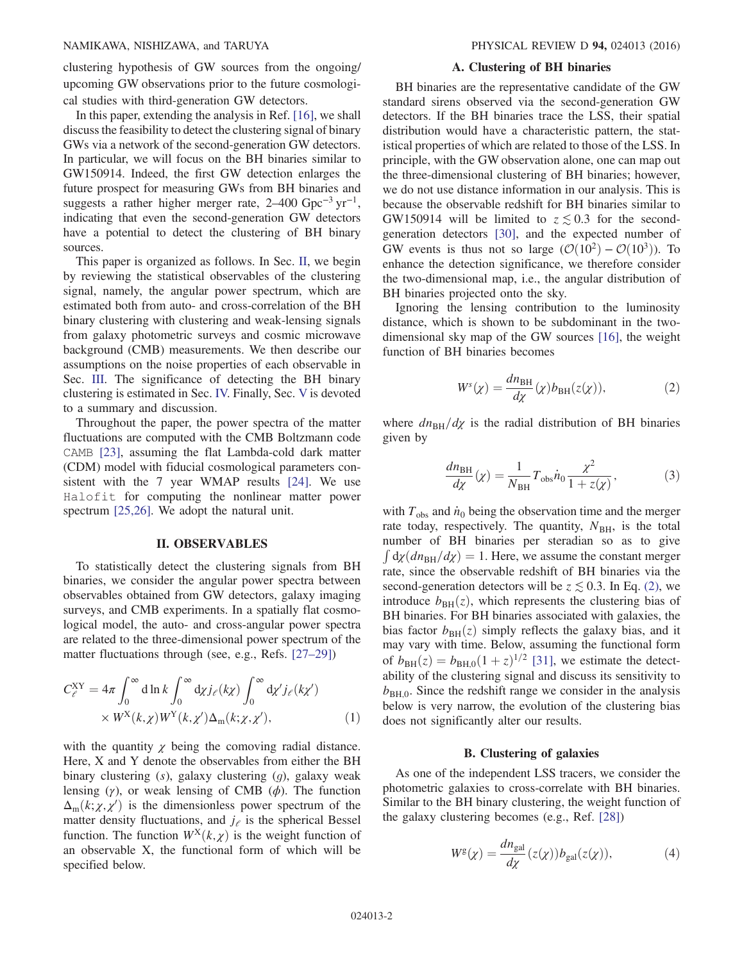clustering hypothesis of GW sources from the ongoing/ upcoming GW observations prior to the future cosmological studies with third-generation GW detectors.

In this paper, extending the analysis in Ref. [\[16\]](#page-6-7), we shall discuss the feasibility to detect the clustering signal of binary GWs via a network of the second-generation GW detectors. In particular, we will focus on the BH binaries similar to GW150914. Indeed, the first GW detection enlarges the future prospect for measuring GWs from BH binaries and suggests a rather higher merger rate,  $2-400 \text{ Gpc}^{-3} \text{ yr}^{-1}$ , indicating that even the second-generation GW detectors have a potential to detect the clustering of BH binary sources.

This paper is organized as follows. In Sec. [II,](#page-1-0) we begin by reviewing the statistical observables of the clustering signal, namely, the angular power spectrum, which are estimated both from auto- and cross-correlation of the BH binary clustering with clustering and weak-lensing signals from galaxy photometric surveys and cosmic microwave background (CMB) measurements. We then describe our assumptions on the noise properties of each observable in Sec. [III.](#page-2-0) The significance of detecting the BH binary clustering is estimated in Sec. [IV.](#page-4-0) Finally, Sec. [V](#page-5-0) is devoted to a summary and discussion.

Throughout the paper, the power spectra of the matter fluctuations are computed with the CMB Boltzmann code CAMB [\[23\]](#page-6-11), assuming the flat Lambda-cold dark matter (CDM) model with fiducial cosmological parameters consistent with the 7 year WMAP results [\[24\]](#page-6-12). We use Halofit for computing the nonlinear matter power spectrum [\[25,26\]](#page-6-13). We adopt the natural unit.

#### II. OBSERVABLES

<span id="page-1-0"></span>To statistically detect the clustering signals from BH binaries, we consider the angular power spectra between observables obtained from GW detectors, galaxy imaging surveys, and CMB experiments. In a spatially flat cosmological model, the auto- and cross-angular power spectra are related to the three-dimensional power spectrum of the matter fluctuations through (see, e.g., Refs. [\[27](#page-7-0)–29])

$$
C_{\ell}^{XY} = 4\pi \int_0^{\infty} d\ln k \int_0^{\infty} d\chi j_{\ell}(k\chi) \int_0^{\infty} d\chi' j_{\ell}(k\chi')
$$
  
 
$$
\times W^{X}(k,\chi) W^{Y}(k,\chi') \Delta_m(k;\chi,\chi'), \qquad (1)
$$

with the quantity  $\chi$  being the comoving radial distance. Here, X and Y denote the observables from either the BH binary clustering (s), galaxy clustering (g), galaxy weak lensing (γ), or weak lensing of CMB ( $\phi$ ). The function  $\Delta_{\rm m}(k; \chi, \chi')$  is the dimensionless power spectrum of the matter density fluctuations, and i. is the spherical Bessel matter density fluctuations, and  $j_e$  is the spherical Bessel function. The function  $W^X(k, \chi)$  is the weight function of an observable X, the functional form of which will be specified below.

### A. Clustering of BH binaries

BH binaries are the representative candidate of the GW standard sirens observed via the second-generation GW detectors. If the BH binaries trace the LSS, their spatial distribution would have a characteristic pattern, the statistical properties of which are related to those of the LSS. In principle, with the GW observation alone, one can map out the three-dimensional clustering of BH binaries; however, we do not use distance information in our analysis. This is because the observable redshift for BH binaries similar to GW150914 will be limited to  $z \lesssim 0.3$  for the secondgeneration detectors [\[30\],](#page-7-1) and the expected number of GW events is thus not so large  $(\mathcal{O}(10^2) - \mathcal{O}(10^3))$ . To enhance the detection significance, we therefore consider the two-dimensional map, i.e., the angular distribution of BH binaries projected onto the sky.

<span id="page-1-1"></span>Ignoring the lensing contribution to the luminosity distance, which is shown to be subdominant in the twodimensional sky map of the GW sources [\[16\],](#page-6-7) the weight function of BH binaries becomes

$$
W^{s}(\chi) = \frac{dn_{\rm BH}}{d\chi}(\chi)b_{\rm BH}(z(\chi)),
$$
\n(2)

where  $dn_{\text{BH}}/dx$  is the radial distribution of BH binaries given by

$$
\frac{dn_{\rm BH}}{d\chi}(\chi) = \frac{1}{N_{\rm BH}} T_{\rm obs} \dot{n}_0 \frac{\chi^2}{1 + z(\chi)},\tag{3}
$$

with  $T_{obs}$  and  $\dot{n}_0$  being the observation time and the merger rate today, respectively. The quantity,  $N_{BH}$ , is the total number of BH binaries per steradian so as to give  $\int dy (dn_{\text{BH}}/dy) = 1$ . Here, we assume the constant merger<br>rate, since the observable redshift of BH binaries via the rate, since the observable redshift of BH binaries via the second-generation detectors will be  $z \lesssim 0.3$ . In Eq. [\(2\)](#page-1-1), we introduce  $b_{BH}(z)$ , which represents the clustering bias of BH binaries. For BH binaries associated with galaxies, the bias factor  $b_{BH}(z)$  simply reflects the galaxy bias, and it may vary with time. Below, assuming the functional form of  $b_{BH}(z) = b_{BH,0}(1+z)^{1/2}$  [\[31\]](#page-7-2), we estimate the detectability of the clustering signal and discuss its sensitivity to  $b_{\text{BH 0}}$ . Since the redshift range we consider in the analysis below is very narrow, the evolution of the clustering bias does not significantly alter our results.

### B. Clustering of galaxies

As one of the independent LSS tracers, we consider the photometric galaxies to cross-correlate with BH binaries. Similar to the BH binary clustering, the weight function of the galaxy clustering becomes (e.g., Ref. [\[28\]](#page-7-3))

$$
W^{g}(\chi) = \frac{dn_{gal}}{d\chi}(z(\chi))b_{gal}(z(\chi)),
$$
\n(4)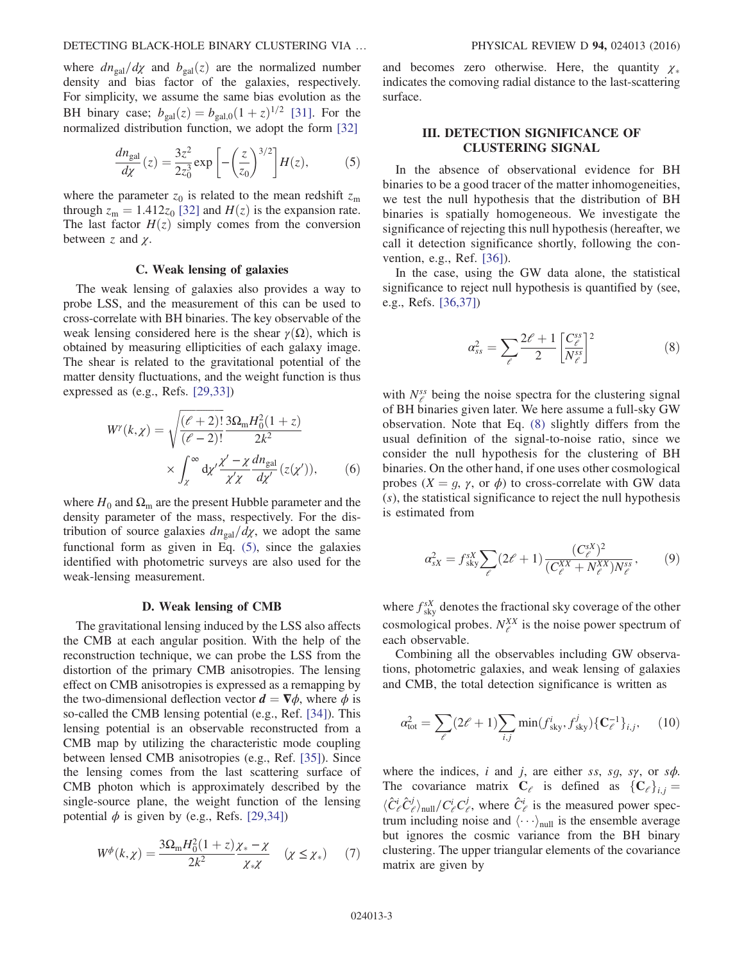<span id="page-2-1"></span>where  $dn_{gal}/d\chi$  and  $b_{gal}(z)$  are the normalized number density and bias factor of the galaxies, respectively. For simplicity, we assume the same bias evolution as the BH binary case;  $b_{gal}(z) = b_{gal,0}(1+z)^{1/2}$  [\[31\].](#page-7-2) For the normalized distribution function, we adopt the form [\[32\]](#page-7-4)

$$
\frac{dn_{\rm gal}}{d\chi}(z) = \frac{3z^2}{2z_0^3} \exp\left[-\left(\frac{z}{z_0}\right)^{3/2}\right]H(z),\tag{5}
$$

where the parameter  $z_0$  is related to the mean redshift  $z_m$ through  $z_m = 1.412z_0$  [\[32\]](#page-7-4) and  $H(z)$  is the expansion rate. The last factor  $H(z)$  simply comes from the conversion between z and  $\chi$ .

# C. Weak lensing of galaxies

The weak lensing of galaxies also provides a way to probe LSS, and the measurement of this can be used to cross-correlate with BH binaries. The key observable of the weak lensing considered here is the shear  $\gamma(\Omega)$ , which is obtained by measuring ellipticities of each galaxy image. The shear is related to the gravitational potential of the matter density fluctuations, and the weight function is thus expressed as (e.g., Refs. [\[29,33\]](#page-7-5))

$$
W^{\gamma}(k,\chi) = \sqrt{\frac{(\ell+2)!}{(\ell-2)!}} \frac{3\Omega_{\rm m}H_0^2(1+z)}{2k^2}
$$

$$
\times \int_{\chi}^{\infty} d\chi' \frac{\chi' - \chi}{\chi'\chi} \frac{dn_{\rm gal}}{d\chi'}(z(\chi')), \qquad (6)
$$

where  $H_0$  and  $\Omega_{\rm m}$  are the present Hubble parameter and the density parameter of the mass, respectively. For the distribution of source galaxies  $dn_{gal}/d\chi$ , we adopt the same functional form as given in Eq. [\(5\)](#page-2-1), since the galaxies identified with photometric surveys are also used for the weak-lensing measurement.

### D. Weak lensing of CMB

The gravitational lensing induced by the LSS also affects the CMB at each angular position. With the help of the reconstruction technique, we can probe the LSS from the distortion of the primary CMB anisotropies. The lensing effect on CMB anisotropies is expressed as a remapping by the two-dimensional deflection vector  $\mathbf{d} = \nabla \phi$ , where  $\phi$  is so-called the CMB lensing potential (e.g., Ref. [\[34\]](#page-7-6)). This lensing potential is an observable reconstructed from a CMB map by utilizing the characteristic mode coupling between lensed CMB anisotropies (e.g., Ref. [\[35\]](#page-7-7)). Since the lensing comes from the last scattering surface of CMB photon which is approximately described by the single-source plane, the weight function of the lensing potential  $\phi$  is given by (e.g., Refs. [\[29,34\]\)](#page-7-5)

$$
W^{\phi}(k,\chi) = \frac{3\Omega_{\rm m}H_0^2(1+z)\chi_*-\chi}{2k^2}\chi_*\chi \qquad (\chi \le \chi_*) \tag{7}
$$

and becomes zero otherwise. Here, the quantity  $\chi_*$ indicates the comoving radial distance to the last-scattering surface.

# <span id="page-2-0"></span>III. DETECTION SIGNIFICANCE OF CLUSTERING SIGNAL

In the absence of observational evidence for BH binaries to be a good tracer of the matter inhomogeneities, we test the null hypothesis that the distribution of BH binaries is spatially homogeneous. We investigate the significance of rejecting this null hypothesis (hereafter, we call it detection significance shortly, following the convention, e.g., Ref. [\[36\]](#page-7-8)).

<span id="page-2-2"></span>In the case, using the GW data alone, the statistical significance to reject null hypothesis is quantified by (see, e.g., Refs. [\[36,37\]](#page-7-8))

$$
\alpha_{ss}^2 = \sum_{\ell} \frac{2\ell+1}{2} \left[ \frac{C_{\ell}^{ss}}{N_{\ell}^{ss}} \right]^2 \tag{8}
$$

with  $N_{\ell}^{ss}$  being the noise spectra for the clustering signal of BH binaries given later. We here assume a full-sky GW observation. Note that Eq. [\(8\)](#page-2-2) slightly differs from the usual definition of the signal-to-noise ratio, since we consider the null hypothesis for the clustering of BH binaries. On the other hand, if one uses other cosmological probes  $(X = g, \gamma, \text{ or } \phi)$  to cross-correlate with GW data  $(s)$ , the statistical significance to reject the null hypothesis is estimated from

$$
\alpha_{sX}^2 = f_{\text{sky}}^{sX} \sum_{\ell} (2\ell + 1) \frac{(C_{\ell}^{sX})^2}{(C_{\ell}^{XX} + N_{\ell}^{XX})N_{\ell}^{ss}},
$$
 (9)

where  $f_{\rm sky}^{sX}$  denotes the fractional sky coverage of the other cosmological probes.  $N_{\ell}^{XX}$  is the noise power spectrum of each observable.

<span id="page-2-3"></span>Combining all the observables including GW observations, photometric galaxies, and weak lensing of galaxies and CMB, the total detection significance is written as

$$
\alpha_{\text{tot}}^2 = \sum_{\ell} (2\ell + 1) \sum_{i,j} \min(f_{\text{sky}}^i, f_{\text{sky}}^j) \{ \mathbf{C}_{\ell}^{-1} \}_{i,j}, \quad (10)
$$

where the indices, i and j, are either ss, sg, sy, or  $s\phi$ . The covariance matrix  $C_e$  is defined as  ${C_e}_{i,j} =$  $\langle \hat{C}_{\ell}^{i} \hat{C}_{\ell}^{j} \rangle_{\text{null}} / C_{\ell}^{i} C_{\ell}^{j}$ , where  $\hat{C}_{\ell}^{i}$  is the measured power spec-<br>trum including noise and  $\langle \ldots \rangle$  is the ensemble average trum including noise and  $\langle \cdots \rangle_{\text{null}}$  is the ensemble average but ignores the cosmic variance from the BH binary clustering. The upper triangular elements of the covariance matrix are given by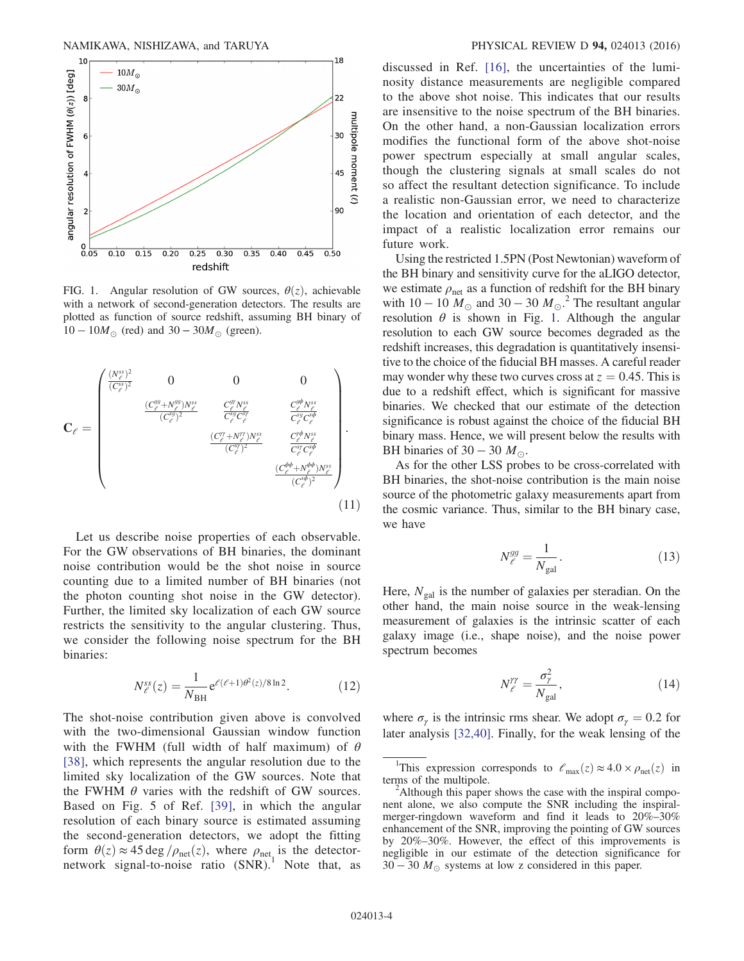<span id="page-3-0"></span>

FIG. 1. Angular resolution of GW sources,  $\theta(z)$ , achievable with a network of second-generation detectors. The results are plotted as function of source redshift, assuming BH binary of  $10 - 10M_{\odot}$  (red) and  $30 - 30M_{\odot}$  (green).

$$
\mathbf{C}_{\ell} = \begin{pmatrix} \frac{(N_{\ell}^{ss})^2}{(C_{\ell}^{ss})^2} & 0 & 0 & 0\\ & \frac{(C_{\ell}^{gg} + N_{\ell}^{gg})N_{\ell}^{ss}}{(C_{\ell}^{sg})^2} & \frac{C_{\ell}^{gr} N_{\ell}^{ss}}{C_{\ell}^{sg} C_{\ell}^{sg}} & \frac{C_{\ell}^{gb} N_{\ell}^{ss}}{C_{\ell}^{sg} C_{\ell}^{sb}}\\ & \frac{(C_{\ell}^{rg} + N_{\ell}^{rr})N_{\ell}^{ss}}{(C_{\ell}^{rg})^2} & \frac{C_{\ell}^{rb} N_{\ell}^{ss}}{C_{\ell}^{rg} C_{\ell}^{sb}}\\ & & \frac{(C_{\ell}^{rq} + N_{\ell}^{rr})N_{\ell}^{ss}}{(C_{\ell}^{sj})^2} & \frac{C_{\ell}^{rb} N_{\ell}^{ss}}{C_{\ell}^{rg} C_{\ell}^{sb}}\\ & & & \frac{(C_{\ell}^{rb} + N_{\ell}^{rb})N_{\ell}^{ss}}{(C_{\ell}^{sb})^2} \end{pmatrix} .
$$
\n(11)

Let us describe noise properties of each observable. For the GW observations of BH binaries, the dominant noise contribution would be the shot noise in source counting due to a limited number of BH binaries (not the photon counting shot noise in the GW detector). Further, the limited sky localization of each GW source restricts the sensitivity to the angular clustering. Thus, we consider the following noise spectrum for the BH binaries:

$$
N_{\ell}^{ss}(z) = \frac{1}{N_{\rm BH}} e^{\ell(\ell+1)\theta^2(z)/8\ln 2}.
$$
 (12)

The shot-noise contribution given above is convolved with the two-dimensional Gaussian window function with the FWHM (full width of half maximum) of  $\theta$ [\[38\],](#page-7-9) which represents the angular resolution due to the limited sky localization of the GW sources. Note that the FWHM  $\theta$  varies with the redshift of GW sources. Based on Fig. 5 of Ref. [\[39\]](#page-7-10), in which the angular resolution of each binary source is estimated assuming the second-generation detectors, we adopt the fitting form  $\theta(z) \approx 45 \text{ deg }/\rho_{\text{net}}(z)$ , where  $\rho_{\text{net}}$  is the detector-<br>network signal-to-noise ratio (SNR).<sup>1</sup> Note that, as discussed in Ref. [\[16\]](#page-6-7), the uncertainties of the luminosity distance measurements are negligible compared to the above shot noise. This indicates that our results are insensitive to the noise spectrum of the BH binaries. On the other hand, a non-Gaussian localization errors modifies the functional form of the above shot-noise power spectrum especially at small angular scales, though the clustering signals at small scales do not so affect the resultant detection significance. To include a realistic non-Gaussian error, we need to characterize the location and orientation of each detector, and the impact of a realistic localization error remains our future work.

Using the restricted 1.5PN (Post Newtonian) waveform of the BH binary and sensitivity curve for the aLIGO detector, we estimate  $\rho_{\text{net}}$  as a function of redshift for the BH binary with  $10 - 10 \dot{M}_{\odot}$  and  $30 - 30 \dot{M}_{\odot}$ .<sup>2</sup> The resultant angular resolution  $\theta$  is shown in Fig. [1](#page-3-0). Although the angular resolution to each GW source becomes degraded as the redshift increases, this degradation is quantitatively insensitive to the choice of the fiducial BH masses. A careful reader may wonder why these two curves cross at  $z = 0.45$ . This is due to a redshift effect, which is significant for massive binaries. We checked that our estimate of the detection significance is robust against the choice of the fiducial BH binary mass. Hence, we will present below the results with BH binaries of 30 – 30  $M_{\odot}$ .

As for the other LSS probes to be cross-correlated with BH binaries, the shot-noise contribution is the main noise source of the photometric galaxy measurements apart from the cosmic variance. Thus, similar to the BH binary case, we have

$$
N_{\ell}^{gg} = \frac{1}{N_{\rm gal}}.\tag{13}
$$

Here,  $N_{gal}$  is the number of galaxies per steradian. On the other hand, the main noise source in the weak-lensing measurement of galaxies is the intrinsic scatter of each galaxy image (i.e., shape noise), and the noise power spectrum becomes

$$
N_{\ell}^{\gamma\gamma} = \frac{\sigma_{\gamma}^{2}}{N_{\rm gal}},\tag{14}
$$

where  $\sigma_{\gamma}$  is the intrinsic rms shear. We adopt  $\sigma_{\gamma} = 0.2$  for later analysis [\[32,40\].](#page-7-4) Finally, for the weak lensing of the

<sup>&</sup>lt;sup>1</sup>This expression corresponds to  $\ell_{\text{max}}(z) \approx 4.0 \times \rho_{\text{net}}(z)$  in ms of the multipole. terms of the multipole.

<sup>&</sup>lt;sup>2</sup>Although this paper shows the case with the inspiral component alone, we also compute the SNR including the inspiralmerger-ringdown waveform and find it leads to 20%–30% enhancement of the SNR, improving the pointing of GW sources by 20%–30%. However, the effect of this improvements is negligible in our estimate of the detection significance for  $30 - 30 M_{\odot}$  systems at low z considered in this paper.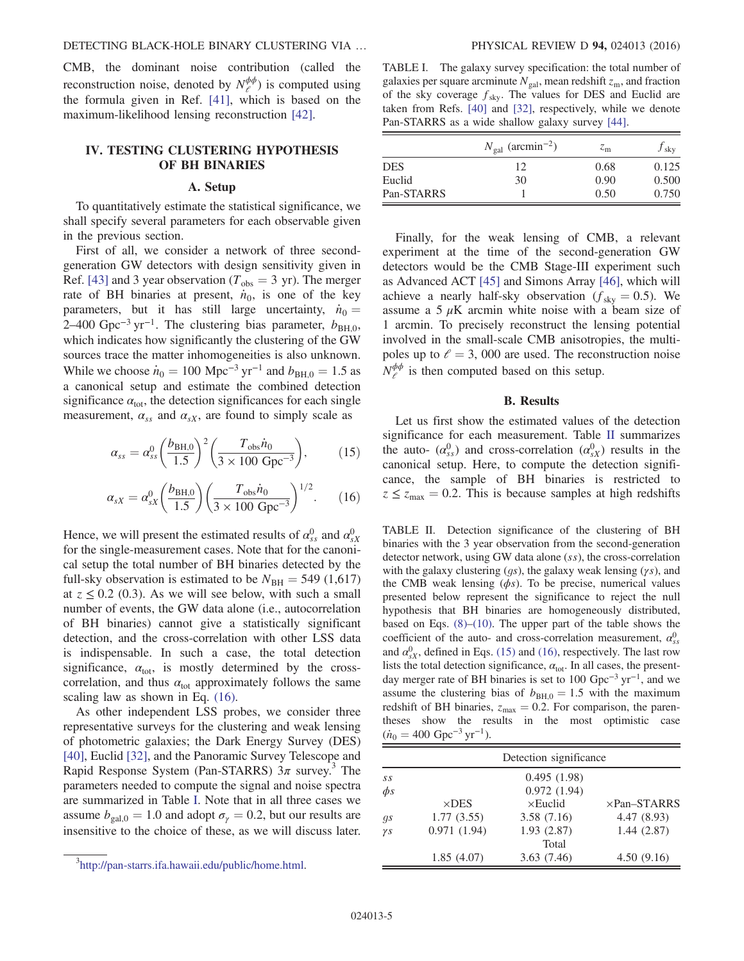CMB, the dominant noise contribution (called the reconstruction noise, denoted by  $N_{\ell}^{\phi\phi}$ ) is computed using the formula given in Ref. [\[41\]](#page-7-11), which is based on the maximum-likelihood lensing reconstruction [\[42\]](#page-7-12).

# <span id="page-4-0"></span>IV. TESTING CLUSTERING HYPOTHESIS OF BH BINARIES

# A. Setup

To quantitatively estimate the statistical significance, we shall specify several parameters for each observable given in the previous section.

First of all, we consider a network of three secondgeneration GW detectors with design sensitivity given in Ref. [\[43\]](#page-7-13) and 3 year observation ( $T_{obs} = 3$  yr). The merger rate of BH binaries at present,  $\dot{n}_0$ , is one of the key parameters, but it has still large uncertainty,  $\dot{n}_0 =$ 2–400 Gpc<sup>-3</sup> yr<sup>-1</sup>. The clustering bias parameter,  $b_{\text{BH},0}$ , which indicates how significantly the clustering of the GW sources trace the matter inhomogeneities is also unknown. While we choose  $\dot{n}_0 = 100 \text{ Mpc}^{-3} \text{ yr}^{-1}$  and  $b_{\text{BH},0} = 1.5$  as a canonical setup and estimate the combined detection significance  $\alpha_{\text{tot}}$ , the detection significances for each single measurement,  $\alpha_{ss}$  and  $\alpha_{sX}$ , are found to simply scale as

<span id="page-4-4"></span>
$$
\alpha_{ss} = \alpha_{ss}^0 \left(\frac{b_{\rm BH,0}}{1.5}\right)^2 \left(\frac{T_{\rm obs} \dot{n}_0}{3 \times 100 \rm \ Gpc^{-3}}\right),\tag{15}
$$

<span id="page-4-1"></span>
$$
\alpha_{sX} = \alpha_{sX}^0 \left(\frac{b_{\text{BH},0}}{1.5}\right) \left(\frac{T_{\text{obs}} \dot{n}_0}{3 \times 100 \text{ Gpc}^{-3}}\right)^{1/2}.
$$
 (16)

Hence, we will present the estimated results of  $\alpha_{ss}^0$  and  $\alpha_{sX}^0$ for the single-measurement cases. Note that for the canonical setup the total number of BH binaries detected by the full-sky observation is estimated to be  $N_{\text{BH}} = 549 \ (1,617)$ at  $z \leq 0.2$  (0.3). As we will see below, with such a small number of events, the GW data alone (i.e., autocorrelation of BH binaries) cannot give a statistically significant detection, and the cross-correlation with other LSS data is indispensable. In such a case, the total detection significance,  $\alpha_{\text{tot}}$ , is mostly determined by the crosscorrelation, and thus  $\alpha_{tot}$  approximately follows the same scaling law as shown in Eq. [\(16\)](#page-4-1).

As other independent LSS probes, we consider three representative surveys for the clustering and weak lensing of photometric galaxies; the Dark Energy Survey (DES) [\[40\]](#page-7-14), Euclid [\[32\]](#page-7-4), and the Panoramic Survey Telescope and Rapid Response System (Pan-STARRS)  $3\pi$  survey.<sup>3</sup> The parameters needed to compute the signal and noise spectra are summarized in Table [I.](#page-4-2) Note that in all three cases we assume  $b_{\text{gal,0}} = 1.0$  and adopt  $\sigma_{\gamma} = 0.2$ , but our results are insensitive to the choice of these, as we will discuss later.

<span id="page-4-2"></span>TABLE I. The galaxy survey specification: the total number of galaxies per square arcminute  $N_{\text{gal}}$ , mean redshift  $z_{\text{m}}$ , and fraction of the sky coverage  $f_{sky}$ . The values for DES and Euclid are taken from Refs. [\[40\]](#page-7-14) and [\[32\]](#page-7-4), respectively, while we denote Pan-STARRS as a wide shallow galaxy survey [\[44\].](#page-7-17)

|            | $N_{\rm gal}$ (arcmin <sup>-2</sup> ) | $z_{\rm m}$ | $f_{\rm sky}$ |
|------------|---------------------------------------|-------------|---------------|
| <b>DES</b> | 12                                    | 0.68        | 0.125         |
| Euclid     | 30                                    | 0.90        | 0.500         |
| Pan-STARRS |                                       | 0.50        | 0.750         |

Finally, for the weak lensing of CMB, a relevant experiment at the time of the second-generation GW detectors would be the CMB Stage-III experiment such as Advanced ACT [\[45\]](#page-7-15) and Simons Array [\[46\]](#page-7-16), which will achieve a nearly half-sky observation ( $f_{\text{sky}} = 0.5$ ). We assume a 5  $\mu$ K arcmin white noise with a beam size of 1 arcmin. To precisely reconstruct the lensing potential involved in the small-scale CMB anisotropies, the multipoles up to  $\ell = 3$ , 000 are used. The reconstruction noise  $N_{\ell}^{\phi\phi}$  is then computed based on this setup.

### B. Results

Let us first show the estimated values of the detection significance for each measurement. Table [II](#page-4-3) summarizes the auto-  $(\alpha_{ss}^0)$  and cross-correlation  $(\alpha_{sX}^0)$  results in the canonical setup. Here, to compute the detection significance, the sample of BH binaries is restricted to  $z \le z_{\text{max}} = 0.2$ . This is because samples at high redshifts

<span id="page-4-3"></span>TABLE II. Detection significance of the clustering of BH binaries with the 3 year observation from the second-generation detector network, using GW data alone (ss), the cross-correlation with the galaxy clustering  $(qs)$ , the galaxy weak lensing  $(ys)$ , and the CMB weak lensing  $(\phi s)$ . To be precise, numerical values presented below represent the significance to reject the null hypothesis that BH binaries are homogeneously distributed, based on Eqs.  $(8)$ – $(10)$ . The upper part of the table shows the coefficient of the auto- and cross-correlation measurement,  $\alpha_{ss}^0$ and  $\alpha_{sX}^0$ , defined in Eqs. [\(15\)](#page-4-4) and [\(16\),](#page-4-1) respectively. The last row lists the total detection significance,  $\alpha_{\text{tot}}$ . In all cases, the presentday merger rate of BH binaries is set to 100 Gpc<sup>-3</sup> yr<sup>-1</sup>, and we assume the clustering bias of  $b_{BH,0} = 1.5$  with the maximum redshift of BH binaries,  $z_{\text{max}} = 0.2$ . For comparison, the parentheses show the results in the most optimistic case  $(\dot{n}_0 = 400 \text{ Gpc}^{-3} \text{ yr}^{-1}).$ 

| 0], Euclid [32], and the Panoramic Survey Telescope and                                                                                                                                                                                                                          |                  | Detection significance    |                                               |                          |  |
|----------------------------------------------------------------------------------------------------------------------------------------------------------------------------------------------------------------------------------------------------------------------------------|------------------|---------------------------|-----------------------------------------------|--------------------------|--|
| pid Response System (Pan-STARRS) $3\pi$ survey. <sup>3</sup> The<br>rameters needed to compute the signal and noise spectra<br>e summarized in Table I. Note that in all three cases we<br>sume $b_{\text{gal,0}} = 1.0$ and adopt $\sigma_{\gamma} = 0.2$ , but our results are | SS<br>$\phi$ s   | $\times$ DES              | 0.495(1.98)<br>0.972(1.94)<br>$\times$ Euclid | $\times$ Pan-STARRS      |  |
| sensitive to the choice of these, as we will discuss later.                                                                                                                                                                                                                      | gs<br>$\gamma s$ | 1.77(3.55)<br>0.971(1.94) | 3.58(7.16)<br>1.93(2.87)                      | 4.47(8.93)<br>1.44(2.87) |  |
|                                                                                                                                                                                                                                                                                  |                  |                           | Total                                         |                          |  |
| <sup>3</sup> http://pan-starrs.ifa.hawaii.edu/public/home.html.                                                                                                                                                                                                                  |                  | 1.85(4.07)                | 3.63(7.46)                                    | 4.50(9.16)               |  |
|                                                                                                                                                                                                                                                                                  |                  |                           |                                               |                          |  |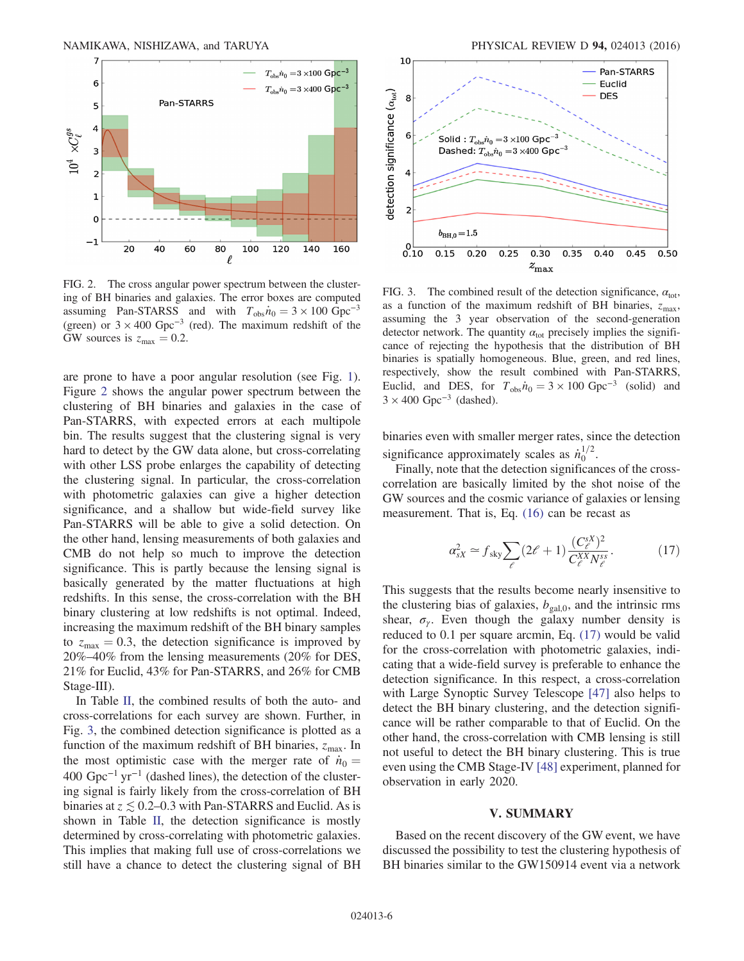<span id="page-5-1"></span>

FIG. 2. The cross angular power spectrum between the clustering of BH binaries and galaxies. The error boxes are computed assuming Pan-STARSS and with  $T_{obs} \dot{n}_0 = 3 \times 100 \text{ Gpc}^{-3}$ (green) or  $3 \times 400$  Gpc<sup>-3</sup> (red). The maximum redshift of the GW sources is  $z_{\text{max}} = 0.2$ .

are prone to have a poor angular resolution (see Fig. [1](#page-3-0)). Figure [2](#page-5-1) shows the angular power spectrum between the clustering of BH binaries and galaxies in the case of Pan-STARRS, with expected errors at each multipole bin. The results suggest that the clustering signal is very hard to detect by the GW data alone, but cross-correlating with other LSS probe enlarges the capability of detecting the clustering signal. In particular, the cross-correlation with photometric galaxies can give a higher detection significance, and a shallow but wide-field survey like Pan-STARRS will be able to give a solid detection. On the other hand, lensing measurements of both galaxies and CMB do not help so much to improve the detection significance. This is partly because the lensing signal is basically generated by the matter fluctuations at high redshifts. In this sense, the cross-correlation with the BH binary clustering at low redshifts is not optimal. Indeed, increasing the maximum redshift of the BH binary samples to  $z_{\text{max}} = 0.3$ , the detection significance is improved by 20%–40% from the lensing measurements (20% for DES, 21% for Euclid, 43% for Pan-STARRS, and 26% for CMB Stage-III).

In Table [II](#page-4-3), the combined results of both the auto- and cross-correlations for each survey are shown. Further, in Fig. [3](#page-5-2), the combined detection significance is plotted as a function of the maximum redshift of BH binaries,  $z_{\text{max}}$ . In the most optimistic case with the merger rate of  $\dot{n}_0 =$ 400  $Gpc^{-1}$  yr<sup>-1</sup> (dashed lines), the detection of the clustering signal is fairly likely from the cross-correlation of BH binaries at  $z \lesssim 0.2{\text -}0.3$  with Pan-STARRS and Euclid. As is shown in Table [II](#page-4-3), the detection significance is mostly determined by cross-correlating with photometric galaxies. This implies that making full use of cross-correlations we still have a chance to detect the clustering signal of BH

<span id="page-5-2"></span>

FIG. 3. The combined result of the detection significance,  $\alpha_{\text{tot}}$ , as a function of the maximum redshift of BH binaries,  $z_{\text{max}}$ , assuming the 3 year observation of the second-generation detector network. The quantity  $\alpha_{tot}$  precisely implies the significance of rejecting the hypothesis that the distribution of BH binaries is spatially homogeneous. Blue, green, and red lines, respectively, show the result combined with Pan-STARRS, Euclid, and DES, for  $T_{obs}\dot{n}_0 = 3 \times 100 \text{ Gpc}^{-3}$  (solid) and  $3 \times 400$  Gpc<sup>-3</sup> (dashed).

binaries even with smaller merger rates, since the detection significance approximately scales as  $\dot{n}_0^{1/2}$ .

<span id="page-5-3"></span>Finally, note that the detection significances of the crosscorrelation are basically limited by the shot noise of the GW sources and the cosmic variance of galaxies or lensing measurement. That is, Eq. [\(16\)](#page-4-1) can be recast as

$$
\alpha_{sX}^2 \simeq f_{\rm sky} \sum_{\ell} (2\ell + 1) \frac{(C_{\ell}^{sX})^2}{C_{\ell}^{XX} N_{\ell}^{ss}}.
$$
 (17)

This suggests that the results become nearly insensitive to the clustering bias of galaxies,  $b_{\text{gal,0}}$ , and the intrinsic rms shear,  $\sigma_{\gamma}$ . Even though the galaxy number density is reduced to 0.1 per square arcmin, Eq. [\(17\)](#page-5-3) would be valid for the cross-correlation with photometric galaxies, indicating that a wide-field survey is preferable to enhance the detection significance. In this respect, a cross-correlation with Large Synoptic Survey Telescope [\[47\]](#page-7-18) also helps to detect the BH binary clustering, and the detection significance will be rather comparable to that of Euclid. On the other hand, the cross-correlation with CMB lensing is still not useful to detect the BH binary clustering. This is true even using the CMB Stage-IV [\[48\]](#page-7-19) experiment, planned for observation in early 2020.

# V. SUMMARY

<span id="page-5-0"></span>Based on the recent discovery of the GW event, we have discussed the possibility to test the clustering hypothesis of BH binaries similar to the GW150914 event via a network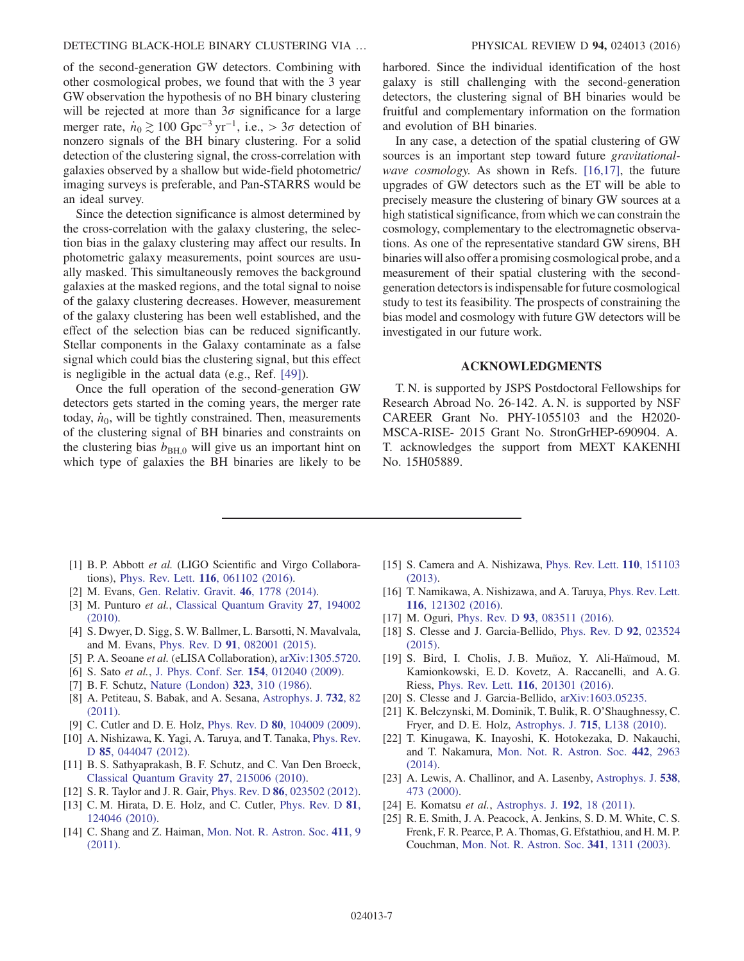of the second-generation GW detectors. Combining with other cosmological probes, we found that with the 3 year GW observation the hypothesis of no BH binary clustering will be rejected at more than  $3\sigma$  significance for a large merger rate,  $\dot{n}_0 \gtrsim 100 \text{ Gpc}^{-3} \text{ yr}^{-1}$ , i.e., > 3 $\sigma$  detection of nonzero signals of the BH binary clustering. For a solid detection of the clustering signal, the cross-correlation with galaxies observed by a shallow but wide-field photometric/ imaging surveys is preferable, and Pan-STARRS would be an ideal survey.

Since the detection significance is almost determined by the cross-correlation with the galaxy clustering, the selection bias in the galaxy clustering may affect our results. In photometric galaxy measurements, point sources are usually masked. This simultaneously removes the background galaxies at the masked regions, and the total signal to noise of the galaxy clustering decreases. However, measurement of the galaxy clustering has been well established, and the effect of the selection bias can be reduced significantly. Stellar components in the Galaxy contaminate as a false signal which could bias the clustering signal, but this effect is negligible in the actual data (e.g., Ref. [\[49\]](#page-7-20)).

Once the full operation of the second-generation GW detectors gets started in the coming years, the merger rate today,  $\dot{n}_0$ , will be tightly constrained. Then, measurements of the clustering signal of BH binaries and constraints on the clustering bias  $b_{\text{BH},0}$  will give us an important hint on which type of galaxies the BH binaries are likely to be harbored. Since the individual identification of the host galaxy is still challenging with the second-generation detectors, the clustering signal of BH binaries would be fruitful and complementary information on the formation and evolution of BH binaries.

In any case, a detection of the spatial clustering of GW sources is an important step toward future *gravitational*-wave cosmology. As shown in Refs. [\[16,17\]](#page-6-7), the future upgrades of GW detectors such as the ET will be able to precisely measure the clustering of binary GW sources at a high statistical significance, from which we can constrain the cosmology, complementary to the electromagnetic observations. As one of the representative standard GW sirens, BH binaries will also offer a promising cosmological probe, and a measurement of their spatial clustering with the secondgeneration detectors is indispensable for future cosmological study to test its feasibility. The prospects of constraining the bias model and cosmology with future GW detectors will be investigated in our future work.

### ACKNOWLEDGMENTS

T. N. is supported by JSPS Postdoctoral Fellowships for Research Abroad No. 26-142. A. N. is supported by NSF CAREER Grant No. PHY-1055103 and the H2020- MSCA-RISE- 2015 Grant No. StronGrHEP-690904. A. T. acknowledges the support from MEXT KAKENHI No. 15H05889.

- <span id="page-6-0"></span>[1] B. P. Abbott et al. (LIGO Scientific and Virgo Collaborations), Phys. Rev. Lett. 116[, 061102 \(2016\).](http://dx.doi.org/10.1103/PhysRevLett.116.061102)
- <span id="page-6-1"></span>[2] M. Evans, [Gen. Relativ. Gravit.](http://dx.doi.org/10.1007/s10714-014-1778-z) 46, 1778 (2014).
- <span id="page-6-2"></span>[3] M. Punturo et al., [Classical Quantum Gravity](http://dx.doi.org/10.1088/0264-9381/27/19/194002) 27, 194002 [\(2010\).](http://dx.doi.org/10.1088/0264-9381/27/19/194002)
- <span id="page-6-3"></span>[4] S. Dwyer, D. Sigg, S. W. Ballmer, L. Barsotti, N. Mavalvala, and M. Evans, Phys. Rev. D 91[, 082001 \(2015\)](http://dx.doi.org/10.1103/PhysRevD.91.082001).
- <span id="page-6-4"></span>[5] P. A. Seoane et al. (eLISA Collaboration), [arXiv:1305.5720.](http://arXiv.org/abs/1305.5720)
- <span id="page-6-5"></span>[6] S. Sato et al., [J. Phys. Conf. Ser.](http://dx.doi.org/10.1088/1742-6596/154/1/012040) 154, 012040 (2009).
- <span id="page-6-6"></span>[7] B. F. Schutz, [Nature \(London\)](http://dx.doi.org/10.1038/323310a0) 323, 310 (1986).
- [8] A. Petiteau, S. Babak, and A. Sesana, [Astrophys. J.](http://dx.doi.org/10.1088/0004-637X/732/2/82) **732**, 82 [\(2011\).](http://dx.doi.org/10.1088/0004-637X/732/2/82)
- [9] C. Cutler and D. E. Holz, Phys. Rev. D 80[, 104009 \(2009\).](http://dx.doi.org/10.1103/PhysRevD.80.104009)
- [10] A. Nishizawa, K. Yagi, A. Taruya, and T. Tanaka, [Phys. Rev.](http://dx.doi.org/10.1103/PhysRevD.85.044047) D 85[, 044047 \(2012\)](http://dx.doi.org/10.1103/PhysRevD.85.044047).
- [11] B. S. Sathyaprakash, B. F. Schutz, and C. Van Den Broeck, [Classical Quantum Gravity](http://dx.doi.org/10.1088/0264-9381/27/21/215006) 27, 215006 (2010).
- [12] S. R. Taylor and J. R. Gair, *Phys. Rev. D* **86**[, 023502 \(2012\).](http://dx.doi.org/10.1103/PhysRevD.86.023502)
- [13] C. M. Hirata, D. E. Holz, and C. Cutler, *[Phys. Rev. D](http://dx.doi.org/10.1103/PhysRevD.81.124046)* 81, [124046 \(2010\).](http://dx.doi.org/10.1103/PhysRevD.81.124046)
- [14] C. Shang and Z. Haiman, [Mon. Not. R. Astron. Soc.](http://dx.doi.org/10.1111/j.1365-2966.2010.17607.x) 411, 9 [\(2011\).](http://dx.doi.org/10.1111/j.1365-2966.2010.17607.x)
- [15] S. Camera and A. Nishizawa, [Phys. Rev. Lett.](http://dx.doi.org/10.1103/PhysRevLett.110.151103) 110, 151103 [\(2013\).](http://dx.doi.org/10.1103/PhysRevLett.110.151103)
- <span id="page-6-7"></span>[16] T. Namikawa, A. Nishizawa, and A. Taruya, [Phys. Rev. Lett.](http://dx.doi.org/10.1103/PhysRevLett.116.121302) 116[, 121302 \(2016\).](http://dx.doi.org/10.1103/PhysRevLett.116.121302)
- <span id="page-6-8"></span>[17] M. Oguri, Phys. Rev. D **93**[, 083511 \(2016\)](http://dx.doi.org/10.1103/PhysRevD.93.083511).
- <span id="page-6-9"></span>[18] S. Clesse and J. Garcia-Bellido, [Phys. Rev. D](http://dx.doi.org/10.1103/PhysRevD.92.023524) 92, 023524 [\(2015\).](http://dx.doi.org/10.1103/PhysRevD.92.023524)
- [19] S. Bird, I. Cholis, J. B. Muñoz, Y. Ali-Haïmoud, M. Kamionkowski, E. D. Kovetz, A. Raccanelli, and A. G. Riess, Phys. Rev. Lett. 116[, 201301 \(2016\).](http://dx.doi.org/10.1103/PhysRevLett.116.201301)
- [20] S. Clesse and J. Garcia-Bellido, [arXiv:1603.05235.](http://arXiv.org/abs/1603.05235)
- <span id="page-6-10"></span>[21] K. Belczynski, M. Dominik, T. Bulik, R. O'Shaughnessy, C. Fryer, and D. E. Holz, Astrophys. J. 715[, L138 \(2010\)](http://dx.doi.org/10.1088/2041-8205/715/2/L138).
- [22] T. Kinugawa, K. Inayoshi, K. Hotokezaka, D. Nakauchi, and T. Nakamura, [Mon. Not. R. Astron. Soc.](http://dx.doi.org/10.1093/mnras/stu1022) 442, 2963 [\(2014\).](http://dx.doi.org/10.1093/mnras/stu1022)
- <span id="page-6-11"></span>[23] A. Lewis, A. Challinor, and A. Lasenby, [Astrophys. J.](http://dx.doi.org/10.1086/309179) 538, [473 \(2000\)](http://dx.doi.org/10.1086/309179).
- <span id="page-6-12"></span>[24] E. Komatsu et al., [Astrophys. J.](http://dx.doi.org/10.1088/0067-0049/192/2/18) 192, 18 (2011).
- <span id="page-6-13"></span>[25] R. E. Smith, J. A. Peacock, A. Jenkins, S. D. M. White, C. S. Frenk, F. R. Pearce, P. A. Thomas, G. Efstathiou, and H. M. P. Couchman, [Mon. Not. R. Astron. Soc.](http://dx.doi.org/10.1046/j.1365-8711.2003.06503.x) 341, 1311 (2003).